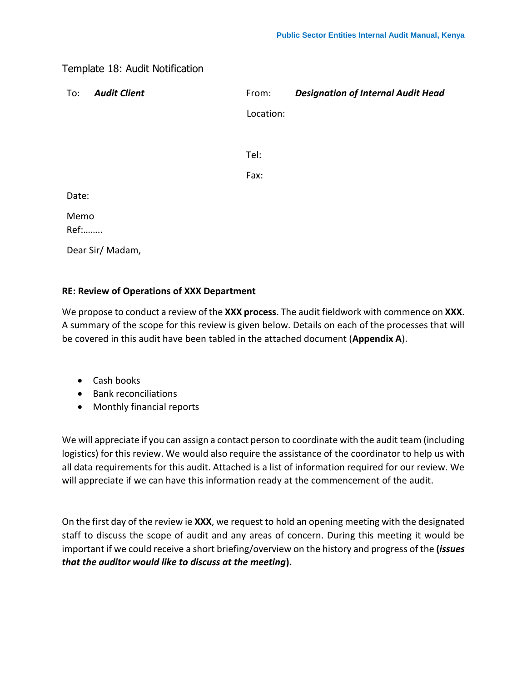## Template 18: Audit Notification

| To:          | <b>Audit Client</b> | From:     | <b>Designation of Internal Audit Head</b> |
|--------------|---------------------|-----------|-------------------------------------------|
|              |                     | Location: |                                           |
|              |                     |           |                                           |
|              |                     | Tel:      |                                           |
|              |                     | Fax:      |                                           |
| Date:        |                     |           |                                           |
| Memo<br>Ref: |                     |           |                                           |
|              | Dear Sir/ Madam,    |           |                                           |

## **RE: Review of Operations of XXX Department**

We propose to conduct a review of the **XXX process**. The audit fieldwork with commence on **XXX**. A summary of the scope for this review is given below. Details on each of the processes that will be covered in this audit have been tabled in the attached document (**Appendix A**).

- Cash books
- Bank reconciliations
- Monthly financial reports

We will appreciate if you can assign a contact person to coordinate with the audit team (including logistics) for this review. We would also require the assistance of the coordinator to help us with all data requirements for this audit. Attached is a list of information required for our review. We will appreciate if we can have this information ready at the commencement of the audit.

On the first day of the review ie **XXX**, we request to hold an opening meeting with the designated staff to discuss the scope of audit and any areas of concern. During this meeting it would be important if we could receive a short briefing/overview on the history and progress of the **(***issues that the auditor would like to discuss at the meeting***).**